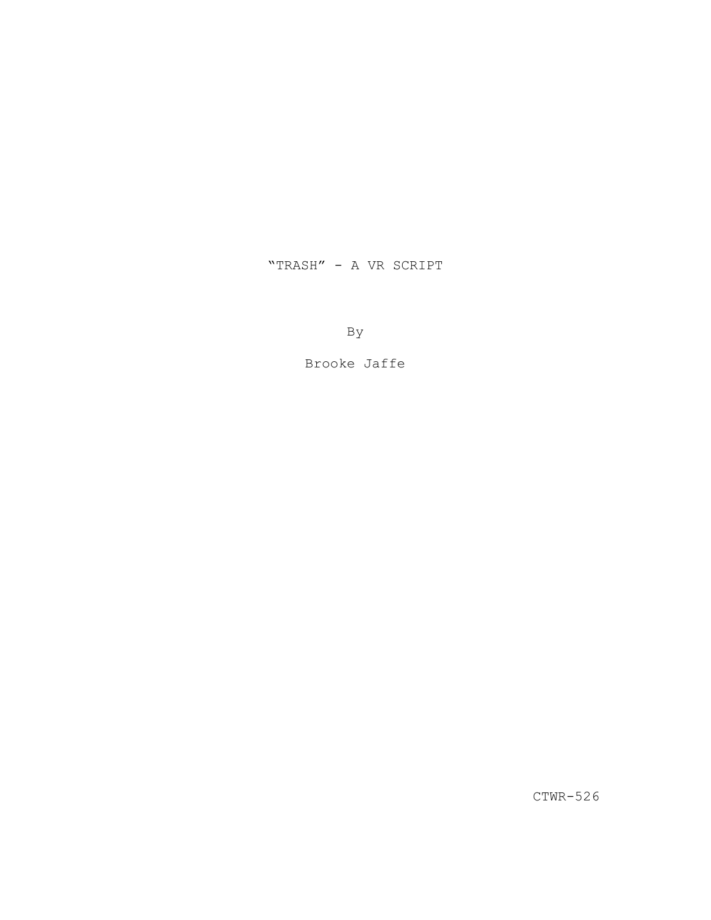# "TRASH" - A VR SCRIPT

By

Brooke Jaffe

CTWR-526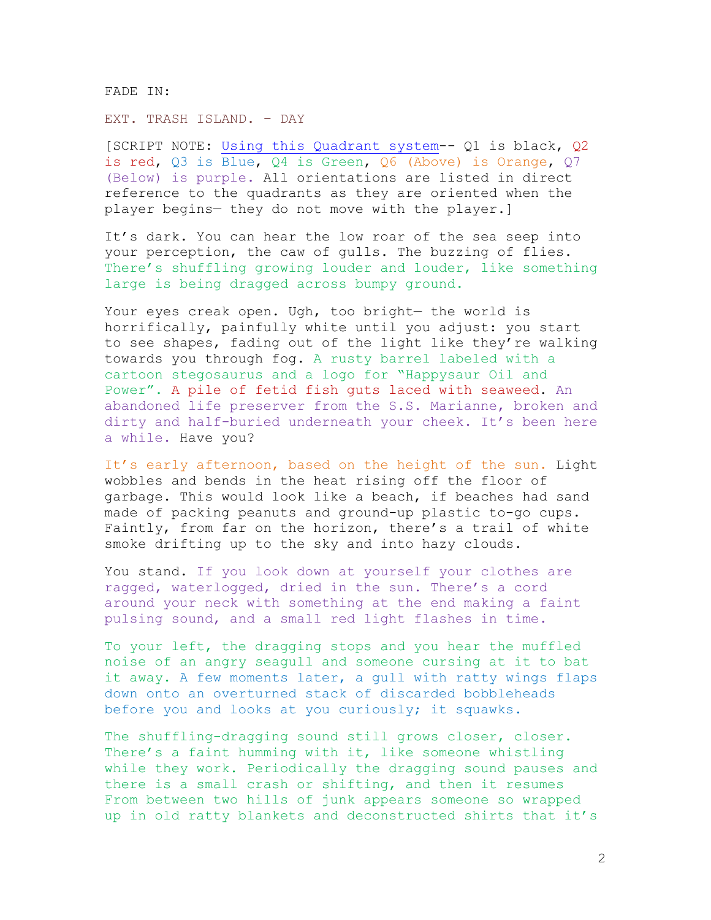FADE IN:

# EXT. TRASH ISLAND. – DAY

[SCRIPT NOTE: [Using this Quadrant system-](https://nofilmschool.com/sites/default/files/styles/article_wide/public/eye_for_an_eye_filmatics_vr_script.jpg?itok=Pcm1Yaqa)- Q1 is black, Q2 is red, Q3 is Blue, Q4 is Green, Q6 (Above) is Orange, Q7 (Below) is purple. All orientations are listed in direct reference to the quadrants as they are oriented when the player begins— they do not move with the player.]

It's dark. You can hear the low roar of the sea seep into your perception, the caw of gulls. The buzzing of flies. There's shuffling growing louder and louder, like something large is being dragged across bumpy ground.

Your eyes creak open. Ugh, too bright— the world is horrifically, painfully white until you adjust: you start to see shapes, fading out of the light like they're walking towards you through fog. A rusty barrel labeled with a cartoon stegosaurus and a logo for "Happysaur Oil and Power". A pile of fetid fish guts laced with seaweed. An abandoned life preserver from the S.S. Marianne, broken and dirty and half-buried underneath your cheek. It's been here a while. Have you?

It's early afternoon, based on the height of the sun. Light wobbles and bends in the heat rising off the floor of garbage. This would look like a beach, if beaches had sand made of packing peanuts and ground-up plastic to-go cups. Faintly, from far on the horizon, there's a trail of white smoke drifting up to the sky and into hazy clouds.

You stand. If you look down at yourself your clothes are ragged, waterlogged, dried in the sun. There's a cord around your neck with something at the end making a faint pulsing sound, and a small red light flashes in time.

To your left, the dragging stops and you hear the muffled noise of an angry seagull and someone cursing at it to bat it away. A few moments later, a gull with ratty wings flaps down onto an overturned stack of discarded bobbleheads before you and looks at you curiously; it squawks.

The shuffling-dragging sound still grows closer, closer. There's a faint humming with it, like someone whistling while they work. Periodically the dragging sound pauses and there is a small crash or shifting, and then it resumes From between two hills of junk appears someone so wrapped up in old ratty blankets and deconstructed shirts that it's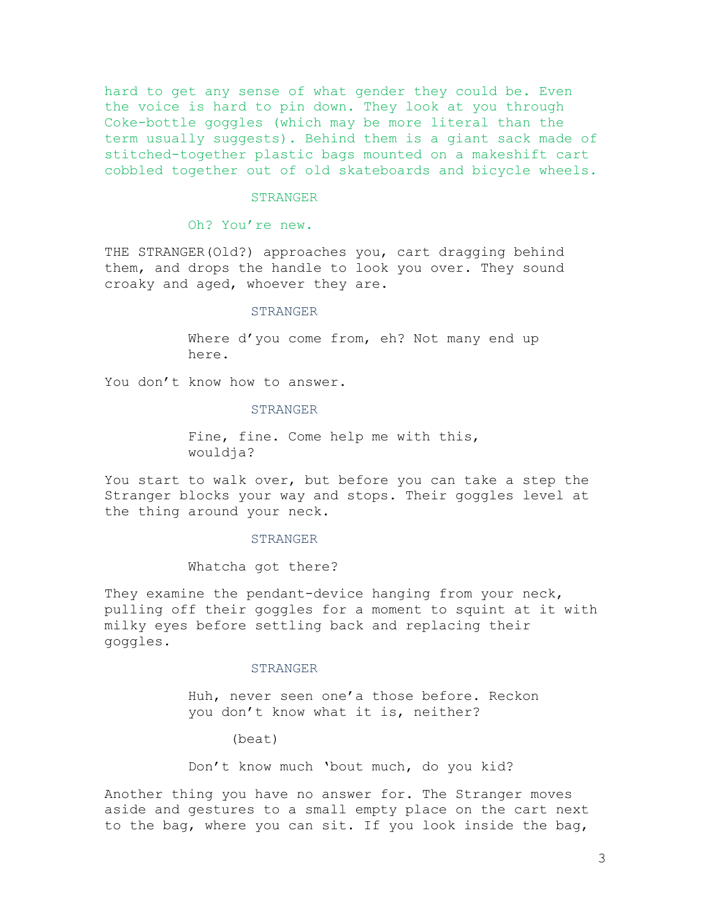hard to get any sense of what gender they could be. Even the voice is hard to pin down. They look at you through Coke-bottle goggles (which may be more literal than the term usually suggests). Behind them is a giant sack made of stitched-together plastic bags mounted on a makeshift cart cobbled together out of old skateboards and bicycle wheels.

#### STRANGER

## Oh? You're new.

THE STRANGER(Old?) approaches you, cart dragging behind them, and drops the handle to look you over. They sound croaky and aged, whoever they are.

## STRANGER

Where d'you come from, eh? Not many end up here.

You don't know how to answer.

## STRANGER

Fine, fine. Come help me with this, wouldja?

You start to walk over, but before you can take a step the Stranger blocks your way and stops. Their goggles level at the thing around your neck.

#### STRANGER

#### Whatcha got there?

They examine the pendant-device hanging from your neck, pulling off their goggles for a moment to squint at it with milky eyes before settling back and replacing their goggles.

#### STRANGER

Huh, never seen one'a those before. Reckon you don't know what it is, neither?

(beat)

Don't know much 'bout much, do you kid?

Another thing you have no answer for. The Stranger moves aside and gestures to a small empty place on the cart next to the bag, where you can sit. If you look inside the bag,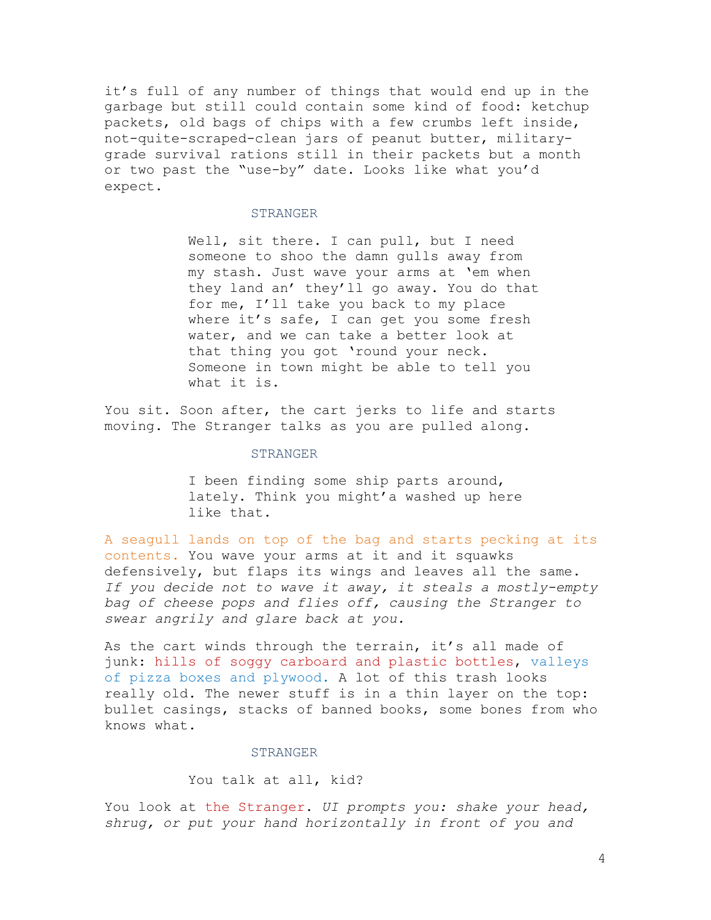it's full of any number of things that would end up in the garbage but still could contain some kind of food: ketchup packets, old bags of chips with a few crumbs left inside, not-quite-scraped-clean jars of peanut butter, militarygrade survival rations still in their packets but a month or two past the "use-by" date. Looks like what you'd expect.

### STRANGER

Well, sit there. I can pull, but I need someone to shoo the damn gulls away from my stash. Just wave your arms at 'em when they land an' they'll go away. You do that for me, I'll take you back to my place where it's safe, I can get you some fresh water, and we can take a better look at that thing you got 'round your neck. Someone in town might be able to tell you what it is.

You sit. Soon after, the cart jerks to life and starts moving. The Stranger talks as you are pulled along.

# STRANGER

I been finding some ship parts around, lately. Think you might'a washed up here like that.

A seagull lands on top of the bag and starts pecking at its contents. You wave your arms at it and it squawks defensively, but flaps its wings and leaves all the same. *If you decide not to wave it away, it steals a mostly-empty bag of cheese pops and flies off, causing the Stranger to swear angrily and glare back at you.*

As the cart winds through the terrain, it's all made of junk: hills of soggy carboard and plastic bottles, valleys of pizza boxes and plywood. A lot of this trash looks really old. The newer stuff is in a thin layer on the top: bullet casings, stacks of banned books, some bones from who knows what.

#### STRANGER

# You talk at all, kid?

You look at the Stranger. *UI prompts you: shake your head, shrug, or put your hand horizontally in front of you and*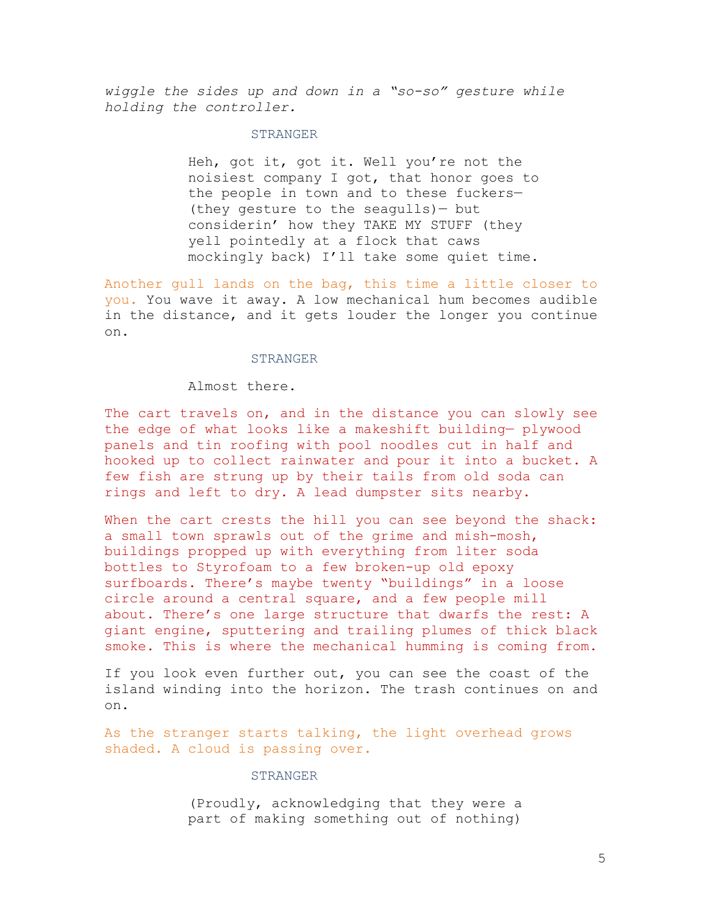*wiggle the sides up and down in a "so-so" gesture while holding the controller.*

## STRANGER

Heh, got it, got it. Well you're not the noisiest company I got, that honor goes to the people in town and to these fuckers— (they gesture to the seagulls)— but considerin' how they TAKE MY STUFF (they yell pointedly at a flock that caws mockingly back) I'll take some quiet time.

Another gull lands on the bag, this time a little closer to you. You wave it away. A low mechanical hum becomes audible in the distance, and it gets louder the longer you continue on.

### STRANGER

Almost there.

The cart travels on, and in the distance you can slowly see the edge of what looks like a makeshift building— plywood panels and tin roofing with pool noodles cut in half and hooked up to collect rainwater and pour it into a bucket. A few fish are strung up by their tails from old soda can rings and left to dry. A lead dumpster sits nearby.

When the cart crests the hill you can see beyond the shack: a small town sprawls out of the grime and mish-mosh, buildings propped up with everything from liter soda bottles to Styrofoam to a few broken-up old epoxy surfboards. There's maybe twenty "buildings" in a loose circle around a central square, and a few people mill about. There's one large structure that dwarfs the rest: A giant engine, sputtering and trailing plumes of thick black smoke. This is where the mechanical humming is coming from.

If you look even further out, you can see the coast of the island winding into the horizon. The trash continues on and on.

As the stranger starts talking, the light overhead grows shaded. A cloud is passing over.

## STRANGER

(Proudly, acknowledging that they were a part of making something out of nothing)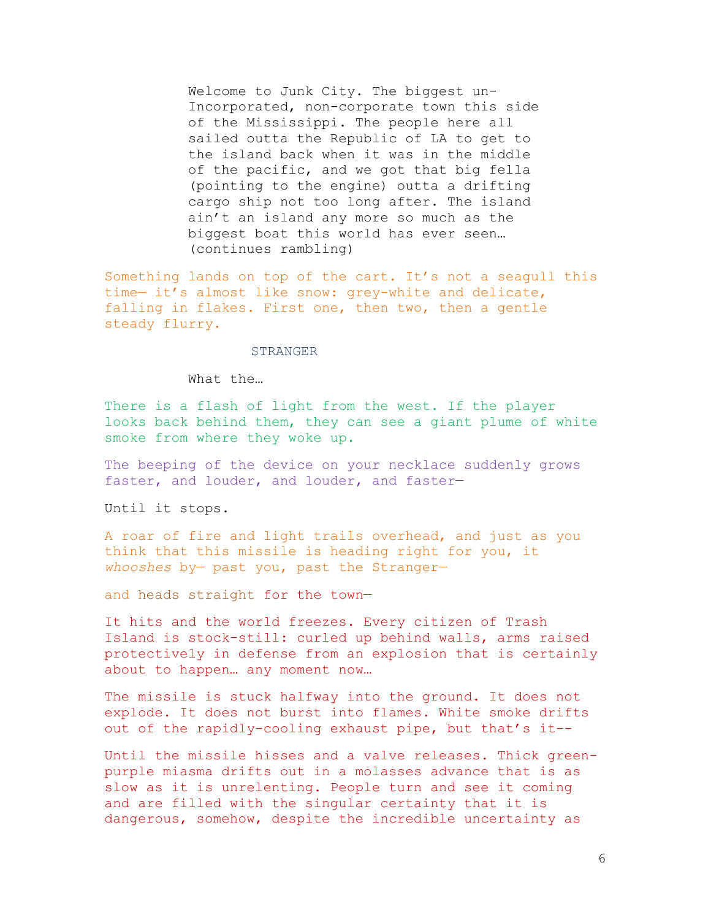Welcome to Junk City. The biggest un-Incorporated, non-corporate town this side of the Mississippi. The people here all sailed outta the Republic of LA to get to the island back when it was in the middle of the pacific, and we got that big fella (pointing to the engine) outta a drifting cargo ship not too long after. The island ain't an island any more so much as the biggest boat this world has ever seen… (continues rambling)

Something lands on top of the cart. It's not a seagull this time— it's almost like snow: grey-white and delicate, falling in flakes. First one, then two, then a gentle steady flurry.

# STRANGER

What the…

There is a flash of light from the west. If the player looks back behind them, they can see a giant plume of white smoke from where they woke up.

The beeping of the device on your necklace suddenly grows faster, and louder, and louder, and faster—

Until it stops.

A roar of fire and light trails overhead, and just as you think that this missile is heading right for you, it *whooshes* by— past you, past the Stranger—

and heads straight for the town—

It hits and the world freezes. Every citizen of Trash Island is stock-still: curled up behind walls, arms raised protectively in defense from an explosion that is certainly about to happen… any moment now…

The missile is stuck halfway into the ground. It does not explode. It does not burst into flames. White smoke drifts out of the rapidly-cooling exhaust pipe, but that's it--

Until the missile hisses and a valve releases. Thick greenpurple miasma drifts out in a molasses advance that is as slow as it is unrelenting. People turn and see it coming and are filled with the singular certainty that it is dangerous, somehow, despite the incredible uncertainty as